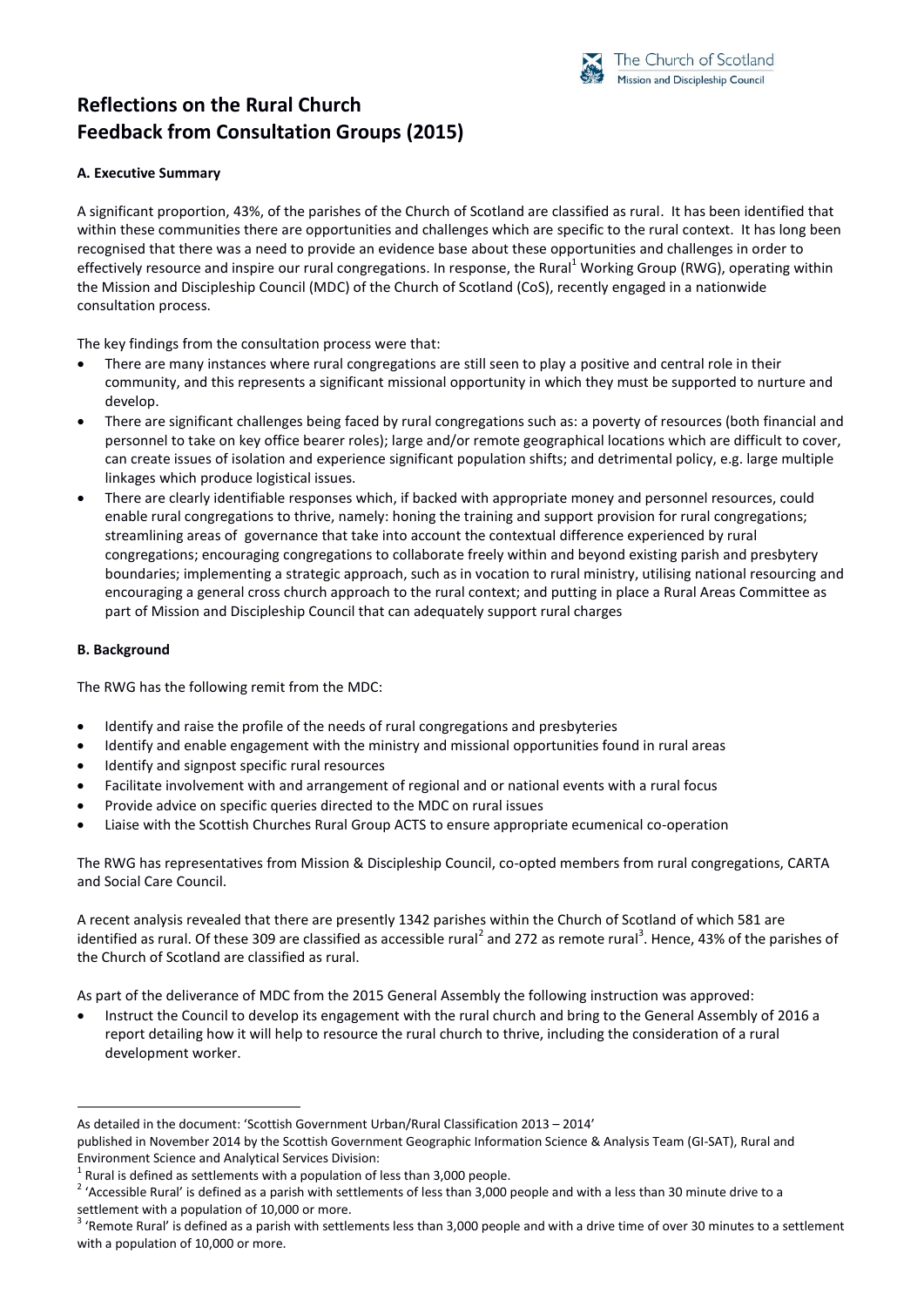

# **Reflections on the Rural Church Feedback from Consultation Groups (2015)**

# **A. Executive Summary**

A significant proportion, 43%, of the parishes of the Church of Scotland are classified as rural. It has been identified that within these communities there are opportunities and challenges which are specific to the rural context. It has long been recognised that there was a need to provide an evidence base about these opportunities and challenges in order to effectively resource and inspire our rural congregations. In response, the Rural<sup>1</sup> Working Group (RWG), operating within the Mission and Discipleship Council (MDC) of the Church of Scotland (CoS), recently engaged in a nationwide consultation process.

The key findings from the consultation process were that:

- There are many instances where rural congregations are still seen to play a positive and central role in their community, and this represents a significant missional opportunity in which they must be supported to nurture and develop.
- There are significant challenges being faced by rural congregations such as: a poverty of resources (both financial and personnel to take on key office bearer roles); large and/or remote geographical locations which are difficult to cover, can create issues of isolation and experience significant population shifts; and detrimental policy, e.g. large multiple linkages which produce logistical issues.
- There are clearly identifiable responses which, if backed with appropriate money and personnel resources, could enable rural congregations to thrive, namely: honing the training and support provision for rural congregations; streamlining areas of governance that take into account the contextual difference experienced by rural congregations; encouraging congregations to collaborate freely within and beyond existing parish and presbytery boundaries; implementing a strategic approach, such as in vocation to rural ministry, utilising national resourcing and encouraging a general cross church approach to the rural context; and putting in place a Rural Areas Committee as part of Mission and Discipleship Council that can adequately support rural charges

#### **B. Background**

 $\overline{a}$ 

The RWG has the following remit from the MDC:

- Identify and raise the profile of the needs of rural congregations and presbyteries
- Identify and enable engagement with the ministry and missional opportunities found in rural areas
- Identify and signpost specific rural resources
- Facilitate involvement with and arrangement of regional and or national events with a rural focus
- Provide advice on specific queries directed to the MDC on rural issues
- Liaise with the Scottish Churches Rural Group ACTS to ensure appropriate ecumenical co-operation

The RWG has representatives from Mission & Discipleship Council, co-opted members from rural congregations, CARTA and Social Care Council.

A recent analysis revealed that there are presently 1342 parishes within the Church of Scotland of which 581 are identified as rural. Of these 309 are classified as accessible rural<sup>2</sup> and 272 as remote rural<sup>3</sup>. Hence, 43% of the parishes of the Church of Scotland are classified as rural.

As part of the deliverance of MDC from the 2015 General Assembly the following instruction was approved:

 Instruct the Council to develop its engagement with the rural church and bring to the General Assembly of 2016 a report detailing how it will help to resource the rural church to thrive, including the consideration of a rural development worker.

As detailed in the document: 'Scottish Government Urban/Rural Classification 2013 – 2014'

published in November 2014 by the Scottish Government Geographic Information Science & Analysis Team (GI-SAT), Rural and Environment Science and Analytical Services Division:

<sup>1</sup> Rural is defined as settlements with a population of less than 3,000 people.

<sup>&</sup>lt;sup>2</sup> 'Accessible Rural' is defined as a parish with settlements of less than 3,000 people and with a less than 30 minute drive to a settlement with a population of 10,000 or more.

 $3$  'Remote Rural' is defined as a parish with settlements less than 3,000 people and with a drive time of over 30 minutes to a settlement with a population of 10,000 or more.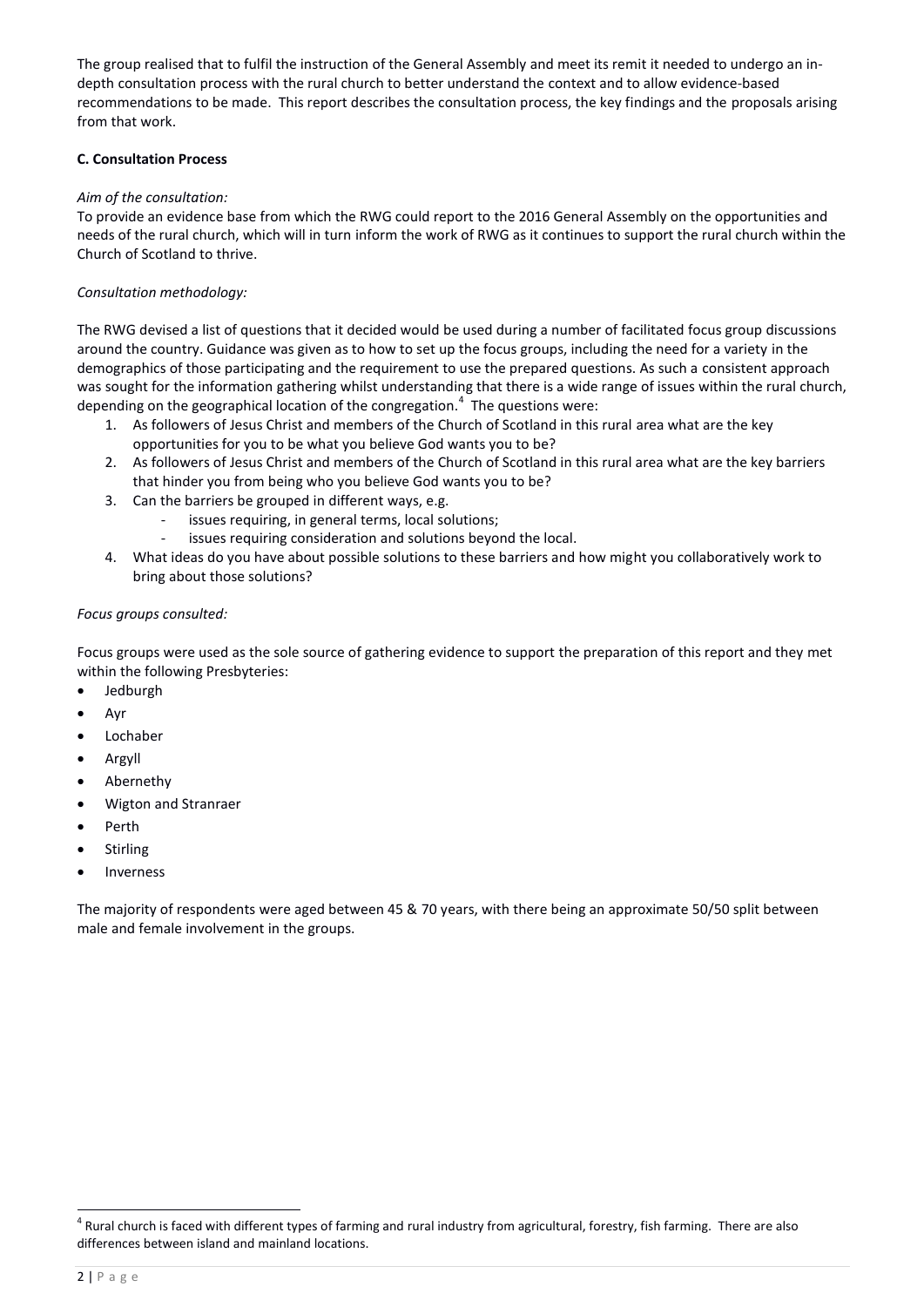The group realised that to fulfil the instruction of the General Assembly and meet its remit it needed to undergo an indepth consultation process with the rural church to better understand the context and to allow evidence-based recommendations to be made. This report describes the consultation process, the key findings and the proposals arising from that work.

# **C. Consultation Process**

## *Aim of the consultation:*

To provide an evidence base from which the RWG could report to the 2016 General Assembly on the opportunities and needs of the rural church, which will in turn inform the work of RWG as it continues to support the rural church within the Church of Scotland to thrive.

# *Consultation methodology:*

The RWG devised a list of questions that it decided would be used during a number of facilitated focus group discussions around the country. Guidance was given as to how to set up the focus groups, including the need for a variety in the demographics of those participating and the requirement to use the prepared questions. As such a consistent approach was sought for the information gathering whilst understanding that there is a wide range of issues within the rural church, depending on the geographical location of the congregation.<sup>4</sup> The questions were:

- 1. As followers of Jesus Christ and members of the Church of Scotland in this rural area what are the key opportunities for you to be what you believe God wants you to be?
- 2. As followers of Jesus Christ and members of the Church of Scotland in this rural area what are the key barriers that hinder you from being who you believe God wants you to be?
- 3. Can the barriers be grouped in different ways, e.g.
	- issues requiring, in general terms, local solutions;
	- issues requiring consideration and solutions beyond the local.
- 4. What ideas do you have about possible solutions to these barriers and how might you collaboratively work to bring about those solutions?

## *Focus groups consulted:*

Focus groups were used as the sole source of gathering evidence to support the preparation of this report and they met within the following Presbyteries:

- Jedburgh
- Ayr
- Lochaber
- Argyll
- Abernethy
- Wigton and Stranraer
- Perth
- Stirling
- Inverness

The majority of respondents were aged between 45 & 70 years, with there being an approximate 50/50 split between male and female involvement in the groups.

 $\overline{a}$ 

<sup>&</sup>lt;sup>4</sup> Rural church is faced with different types of farming and rural industry from agricultural, forestry, fish farming. There are also differences between island and mainland locations.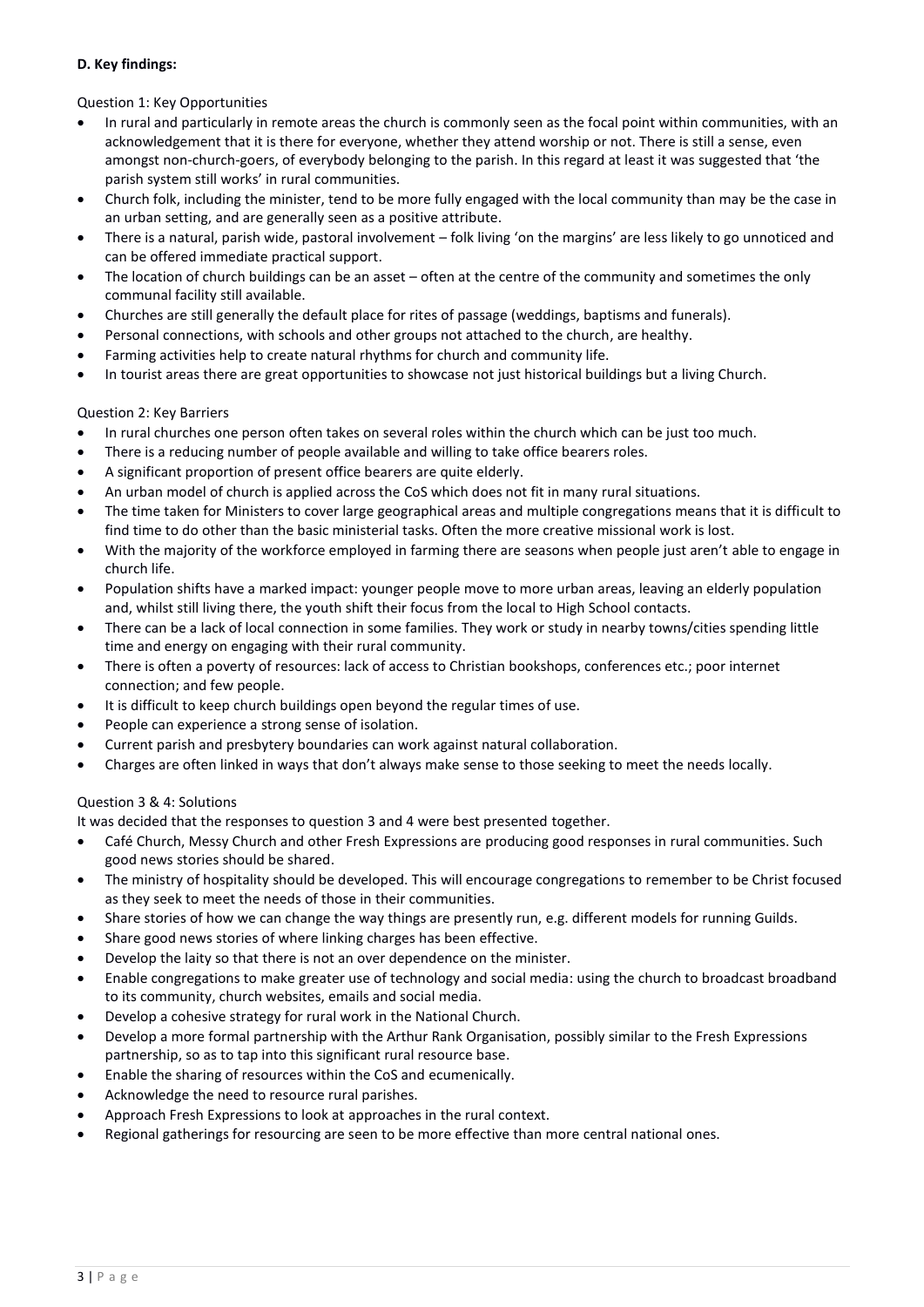## **D. Key findings:**

Question 1: Key Opportunities

- In rural and particularly in remote areas the church is commonly seen as the focal point within communities, with an acknowledgement that it is there for everyone, whether they attend worship or not. There is still a sense, even amongst non-church-goers, of everybody belonging to the parish. In this regard at least it was suggested that 'the parish system still works' in rural communities.
- Church folk, including the minister, tend to be more fully engaged with the local community than may be the case in an urban setting, and are generally seen as a positive attribute.
- There is a natural, parish wide, pastoral involvement folk living 'on the margins' are less likely to go unnoticed and can be offered immediate practical support.
- The location of church buildings can be an asset often at the centre of the community and sometimes the only communal facility still available.
- Churches are still generally the default place for rites of passage (weddings, baptisms and funerals).
- Personal connections, with schools and other groups not attached to the church, are healthy.
- Farming activities help to create natural rhythms for church and community life.
- In tourist areas there are great opportunities to showcase not just historical buildings but a living Church.

## Question 2: Key Barriers

- In rural churches one person often takes on several roles within the church which can be just too much.
- There is a reducing number of people available and willing to take office bearers roles.
- A significant proportion of present office bearers are quite elderly.
- An urban model of church is applied across the CoS which does not fit in many rural situations.
- The time taken for Ministers to cover large geographical areas and multiple congregations means that it is difficult to find time to do other than the basic ministerial tasks. Often the more creative missional work is lost.
- With the majority of the workforce employed in farming there are seasons when people just aren't able to engage in church life.
- Population shifts have a marked impact: younger people move to more urban areas, leaving an elderly population and, whilst still living there, the youth shift their focus from the local to High School contacts.
- There can be a lack of local connection in some families. They work or study in nearby towns/cities spending little time and energy on engaging with their rural community.
- There is often a poverty of resources: lack of access to Christian bookshops, conferences etc.; poor internet connection; and few people.
- It is difficult to keep church buildings open beyond the regular times of use.
- People can experience a strong sense of isolation.
- Current parish and presbytery boundaries can work against natural collaboration.
- Charges are often linked in ways that don't always make sense to those seeking to meet the needs locally.

#### Question 3 & 4: Solutions

It was decided that the responses to question 3 and 4 were best presented together.

- Café Church, Messy Church and other Fresh Expressions are producing good responses in rural communities. Such good news stories should be shared.
- The ministry of hospitality should be developed. This will encourage congregations to remember to be Christ focused as they seek to meet the needs of those in their communities.
- Share stories of how we can change the way things are presently run, e.g. different models for running Guilds.
- Share good news stories of where linking charges has been effective.
- Develop the laity so that there is not an over dependence on the minister.
- Enable congregations to make greater use of technology and social media: using the church to broadcast broadband to its community, church websites, emails and social media.
- Develop a cohesive strategy for rural work in the National Church.
- Develop a more formal partnership with the Arthur Rank Organisation, possibly similar to the Fresh Expressions partnership, so as to tap into this significant rural resource base.
- Enable the sharing of resources within the CoS and ecumenically.
- Acknowledge the need to resource rural parishes.
- Approach Fresh Expressions to look at approaches in the rural context.
- Regional gatherings for resourcing are seen to be more effective than more central national ones.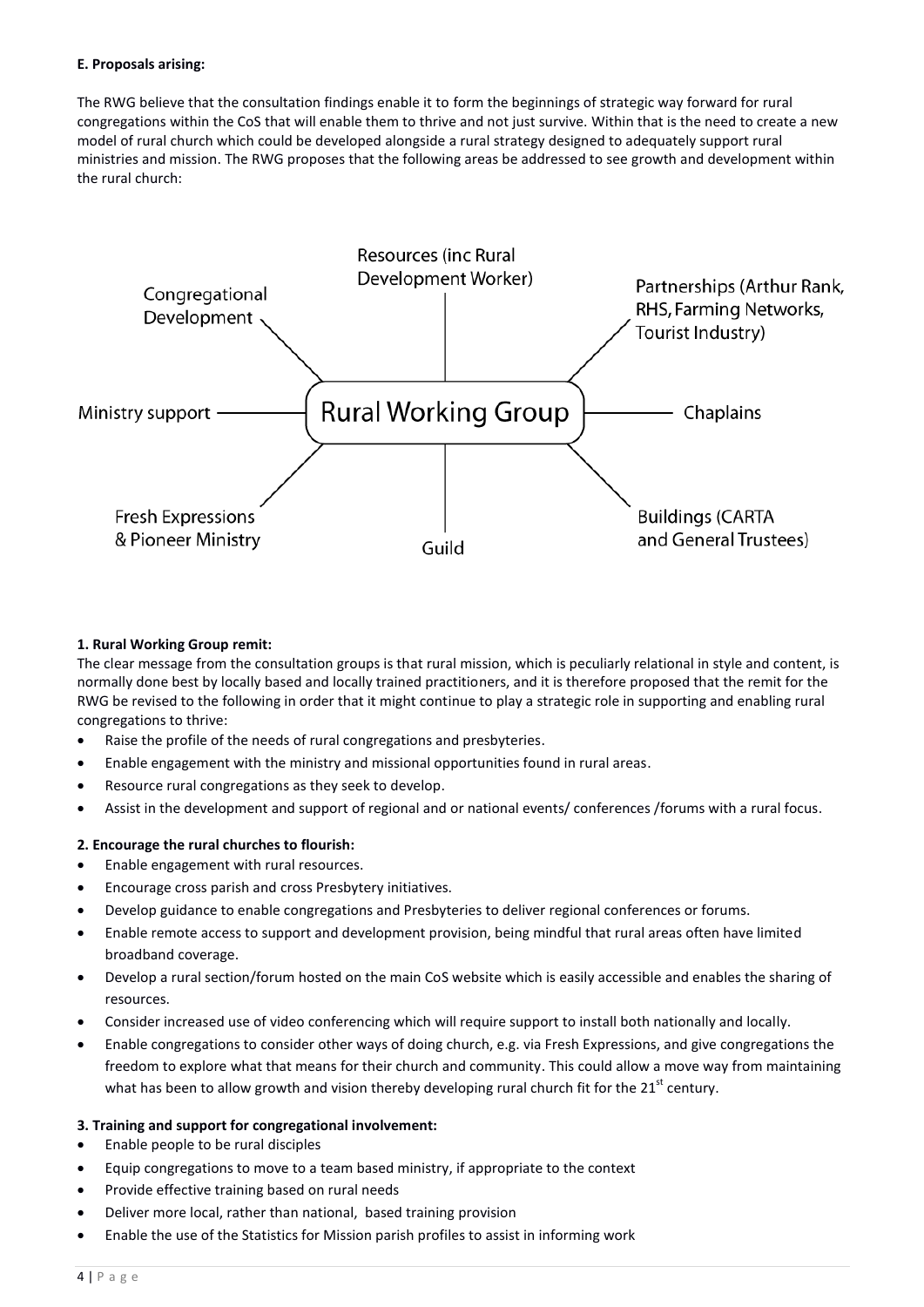#### **E. Proposals arising:**

The RWG believe that the consultation findings enable it to form the beginnings of strategic way forward for rural congregations within the CoS that will enable them to thrive and not just survive. Within that is the need to create a new model of rural church which could be developed alongside a rural strategy designed to adequately support rural ministries and mission. The RWG proposes that the following areas be addressed to see growth and development within the rural church:



# **1. Rural Working Group remit:**

The clear message from the consultation groups is that rural mission, which is peculiarly relational in style and content, is normally done best by locally based and locally trained practitioners, and it is therefore proposed that the remit for the RWG be revised to the following in order that it might continue to play a strategic role in supporting and enabling rural congregations to thrive:

- Raise the profile of the needs of rural congregations and presbyteries.
- Enable engagement with the ministry and missional opportunities found in rural areas.
- Resource rural congregations as they seek to develop.
- Assist in the development and support of regional and or national events/ conferences /forums with a rural focus.

# **2. Encourage the rural churches to flourish:**

- Enable engagement with rural resources.
- Encourage cross parish and cross Presbytery initiatives.
- Develop guidance to enable congregations and Presbyteries to deliver regional conferences or forums.
- Enable remote access to support and development provision, being mindful that rural areas often have limited broadband coverage.
- Develop a rural section/forum hosted on the main CoS website which is easily accessible and enables the sharing of resources.
- Consider increased use of video conferencing which will require support to install both nationally and locally.
- Enable congregations to consider other ways of doing church, e.g. via Fresh Expressions, and give congregations the freedom to explore what that means for their church and community. This could allow a move way from maintaining what has been to allow growth and vision thereby developing rural church fit for the  $21^{st}$  century.

#### **3. Training and support for congregational involvement:**

- Enable people to be rural disciples
- Equip congregations to move to a team based ministry, if appropriate to the context
- Provide effective training based on rural needs
- Deliver more local, rather than national, based training provision
- Enable the use of the Statistics for Mission parish profiles to assist in informing work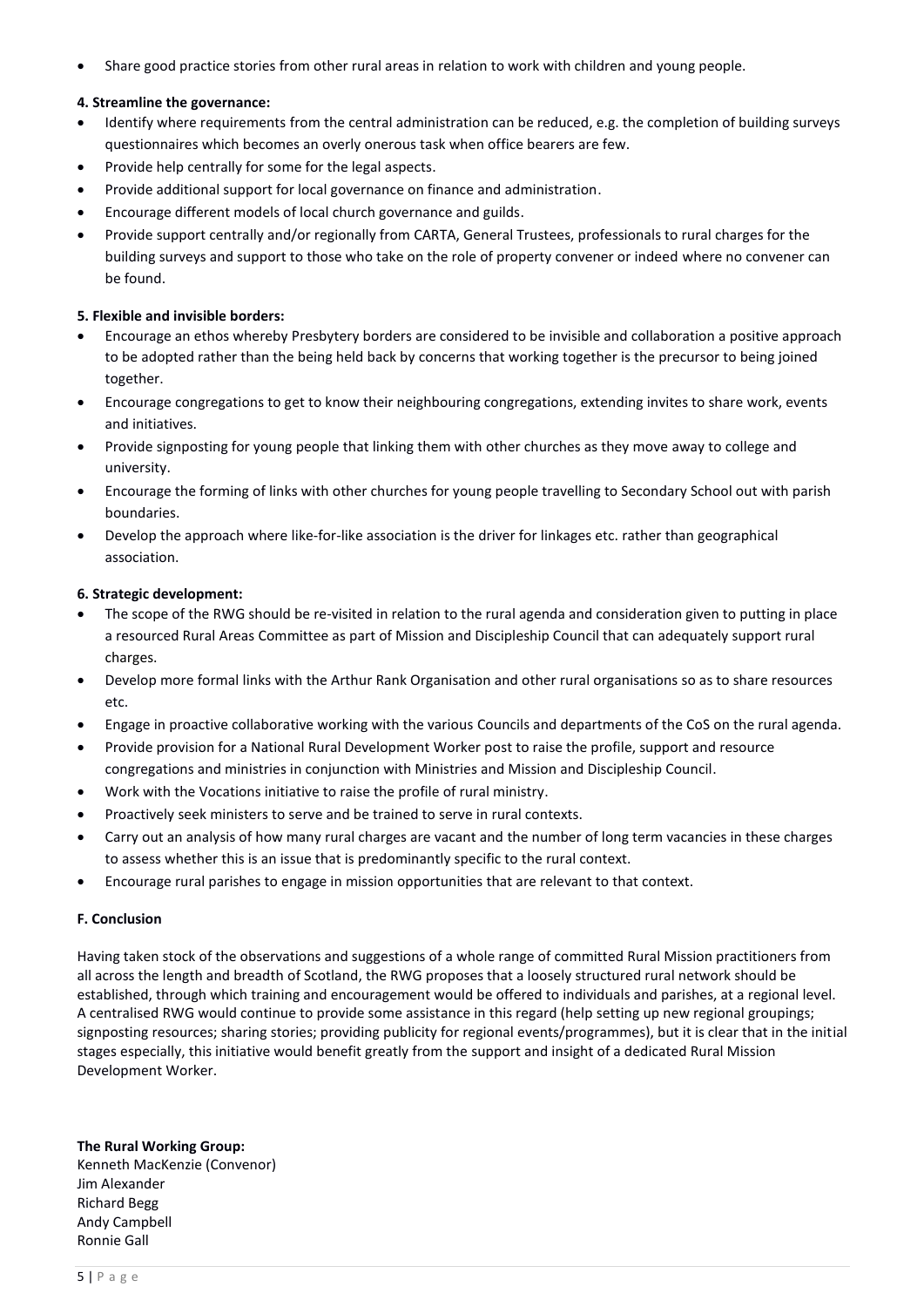Share good practice stories from other rural areas in relation to work with children and young people.

#### **4. Streamline the governance:**

- Identify where requirements from the central administration can be reduced, e.g. the completion of building surveys questionnaires which becomes an overly onerous task when office bearers are few.
- Provide help centrally for some for the legal aspects.
- Provide additional support for local governance on finance and administration.
- Encourage different models of local church governance and guilds.
- Provide support centrally and/or regionally from CARTA, General Trustees, professionals to rural charges for the building surveys and support to those who take on the role of property convener or indeed where no convener can be found.

#### **5. Flexible and invisible borders:**

- Encourage an ethos whereby Presbytery borders are considered to be invisible and collaboration a positive approach to be adopted rather than the being held back by concerns that working together is the precursor to being joined together.
- Encourage congregations to get to know their neighbouring congregations, extending invites to share work, events and initiatives.
- Provide signposting for young people that linking them with other churches as they move away to college and university.
- Encourage the forming of links with other churches for young people travelling to Secondary School out with parish boundaries.
- Develop the approach where like-for-like association is the driver for linkages etc. rather than geographical association.

## **6. Strategic development:**

- The scope of the RWG should be re-visited in relation to the rural agenda and consideration given to putting in place a resourced Rural Areas Committee as part of Mission and Discipleship Council that can adequately support rural charges.
- Develop more formal links with the Arthur Rank Organisation and other rural organisations so as to share resources etc.
- Engage in proactive collaborative working with the various Councils and departments of the CoS on the rural agenda.
- Provide provision for a National Rural Development Worker post to raise the profile, support and resource congregations and ministries in conjunction with Ministries and Mission and Discipleship Council.
- Work with the Vocations initiative to raise the profile of rural ministry.
- Proactively seek ministers to serve and be trained to serve in rural contexts.
- Carry out an analysis of how many rural charges are vacant and the number of long term vacancies in these charges to assess whether this is an issue that is predominantly specific to the rural context.
- Encourage rural parishes to engage in mission opportunities that are relevant to that context.

#### **F. Conclusion**

Having taken stock of the observations and suggestions of a whole range of committed Rural Mission practitioners from all across the length and breadth of Scotland, the RWG proposes that a loosely structured rural network should be established, through which training and encouragement would be offered to individuals and parishes, at a regional level. A centralised RWG would continue to provide some assistance in this regard (help setting up new regional groupings; signposting resources; sharing stories; providing publicity for regional events/programmes), but it is clear that in the initial stages especially, this initiative would benefit greatly from the support and insight of a dedicated Rural Mission Development Worker.

**The Rural Working Group:**

Kenneth MacKenzie (Convenor) Jim Alexander Richard Begg Andy Campbell Ronnie Gall